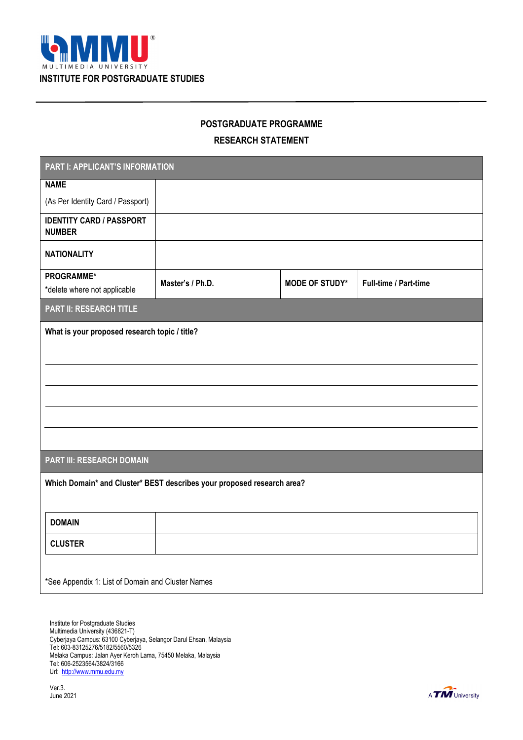

# **POSTGRADUATE PROGRAMME**

## **RESEARCH STATEMENT**

| PART I: APPLICANT'S INFORMATION                                        |                  |                       |                       |  |
|------------------------------------------------------------------------|------------------|-----------------------|-----------------------|--|
| <b>NAME</b>                                                            |                  |                       |                       |  |
| (As Per Identity Card / Passport)                                      |                  |                       |                       |  |
| <b>IDENTITY CARD / PASSPORT</b><br><b>NUMBER</b>                       |                  |                       |                       |  |
| <b>NATIONALITY</b>                                                     |                  |                       |                       |  |
| PROGRAMME*<br>*delete where not applicable                             | Master's / Ph.D. | <b>MODE OF STUDY*</b> | Full-time / Part-time |  |
| <b>PART II: RESEARCH TITLE</b>                                         |                  |                       |                       |  |
| What is your proposed research topic / title?                          |                  |                       |                       |  |
|                                                                        |                  |                       |                       |  |
|                                                                        |                  |                       |                       |  |
|                                                                        |                  |                       |                       |  |
|                                                                        |                  |                       |                       |  |
|                                                                        |                  |                       |                       |  |
| <b>PART III: RESEARCH DOMAIN</b>                                       |                  |                       |                       |  |
| Which Domain* and Cluster* BEST describes your proposed research area? |                  |                       |                       |  |
|                                                                        |                  |                       |                       |  |
| <b>DOMAIN</b>                                                          |                  |                       |                       |  |
| <b>CLUSTER</b>                                                         |                  |                       |                       |  |
|                                                                        |                  |                       |                       |  |
| *See Appendix 1: List of Domain and Cluster Names                      |                  |                       |                       |  |

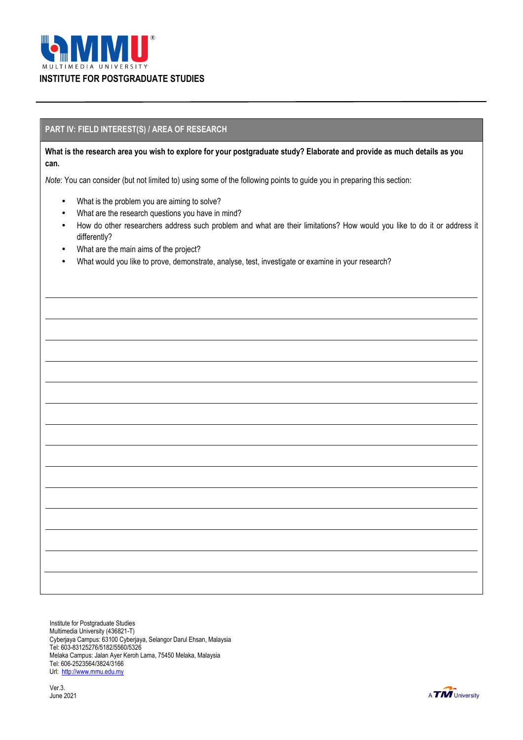

#### **PART IV: FIELD INTEREST(S) / AREA OF RESEARCH**

**What is the research area you wish to explore for your postgraduate study? Elaborate and provide as much details as you can.** 

*Note*: You can consider (but not limited to) using some of the following points to guide you in preparing this section:

- What is the problem you are aiming to solve?
- What are the research questions you have in mind?
- How do other researchers address such problem and what are their limitations? How would you like to do it or address it differently?
- What are the main aims of the project?
- What would you like to prove, demonstrate, analyse, test, investigate or examine in your research?

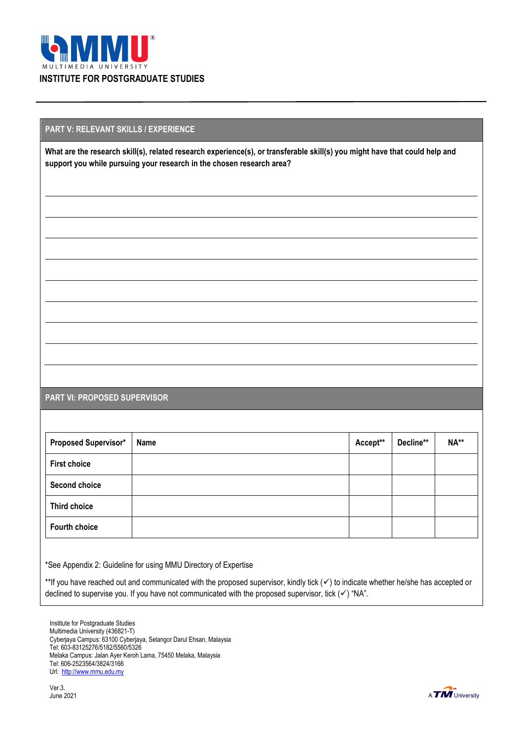

#### **PART V: RELEVANT SKILLS / EXPERIENCE**

**What are the research skill(s), related research experience(s), or transferable skill(s) you might have that could help and support you while pursuing your research in the chosen research area?** 

#### **PART VI: PROPOSED SUPERVISOR**

| <b>Proposed Supervisor*</b> | Name | Accept** | Decline** | NA** |
|-----------------------------|------|----------|-----------|------|
| <b>First choice</b>         |      |          |           |      |
| Second choice               |      |          |           |      |
| <b>Third choice</b>         |      |          |           |      |
| <b>Fourth choice</b>        |      |          |           |      |

\*See Appendix 2: Guideline for using MMU Directory of Expertise

\*\*If you have reached out and communicated with the proposed supervisor, kindly tick ( $\checkmark$ ) to indicate whether he/she has accepted or declined to supervise you. If you have not communicated with the proposed supervisor, tick  $(\checkmark)$  "NA".

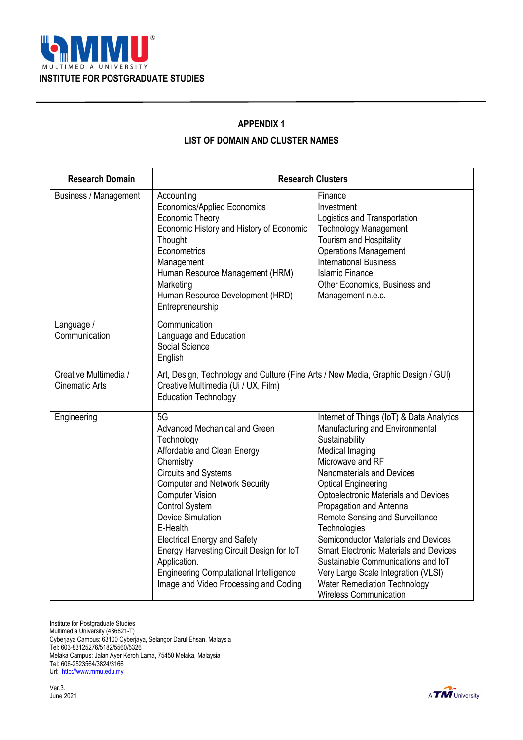

### **APPENDIX 1**

### **LIST OF DOMAIN AND CLUSTER NAMES**

| <b>Research Domain</b>                         | <b>Research Clusters</b>                                                                                                                                                                                                                                                                                                                                                                                                                                     |                                                                                                                                                                                                                                                                                                                                                                                                                                                                                                                                                                     |  |
|------------------------------------------------|--------------------------------------------------------------------------------------------------------------------------------------------------------------------------------------------------------------------------------------------------------------------------------------------------------------------------------------------------------------------------------------------------------------------------------------------------------------|---------------------------------------------------------------------------------------------------------------------------------------------------------------------------------------------------------------------------------------------------------------------------------------------------------------------------------------------------------------------------------------------------------------------------------------------------------------------------------------------------------------------------------------------------------------------|--|
| <b>Business / Management</b>                   | Accounting<br><b>Economics/Applied Economics</b><br>Economic Theory<br>Economic History and History of Economic<br>Thought<br>Econometrics<br>Management<br>Human Resource Management (HRM)<br>Marketing<br>Human Resource Development (HRD)<br>Entrepreneurship                                                                                                                                                                                             | Finance<br>Investment<br>Logistics and Transportation<br><b>Technology Management</b><br><b>Tourism and Hospitality</b><br><b>Operations Management</b><br><b>International Business</b><br><b>Islamic Finance</b><br>Other Economics, Business and<br>Management n.e.c.                                                                                                                                                                                                                                                                                            |  |
| Language /<br>Communication                    | Communication<br>Language and Education<br>Social Science<br>English                                                                                                                                                                                                                                                                                                                                                                                         |                                                                                                                                                                                                                                                                                                                                                                                                                                                                                                                                                                     |  |
| Creative Multimedia /<br><b>Cinematic Arts</b> | Art, Design, Technology and Culture (Fine Arts / New Media, Graphic Design / GUI)<br>Creative Multimedia (Ui / UX, Film)<br><b>Education Technology</b>                                                                                                                                                                                                                                                                                                      |                                                                                                                                                                                                                                                                                                                                                                                                                                                                                                                                                                     |  |
| Engineering                                    | 5G<br>Advanced Mechanical and Green<br>Technology<br>Affordable and Clean Energy<br>Chemistry<br><b>Circuits and Systems</b><br><b>Computer and Network Security</b><br><b>Computer Vision</b><br><b>Control System</b><br><b>Device Simulation</b><br>E-Health<br><b>Electrical Energy and Safety</b><br>Energy Harvesting Circuit Design for IoT<br>Application.<br><b>Engineering Computational Intelligence</b><br>Image and Video Processing and Coding | Internet of Things (IoT) & Data Analytics<br>Manufacturing and Environmental<br>Sustainability<br>Medical Imaging<br>Microwave and RF<br>Nanomaterials and Devices<br><b>Optical Engineering</b><br>Optoelectronic Materials and Devices<br>Propagation and Antenna<br>Remote Sensing and Surveillance<br>Technologies<br>Semiconductor Materials and Devices<br><b>Smart Electronic Materials and Devices</b><br>Sustainable Communications and IoT<br>Very Large Scale Integration (VLSI)<br><b>Water Remediation Technology</b><br><b>Wireless Communication</b> |  |

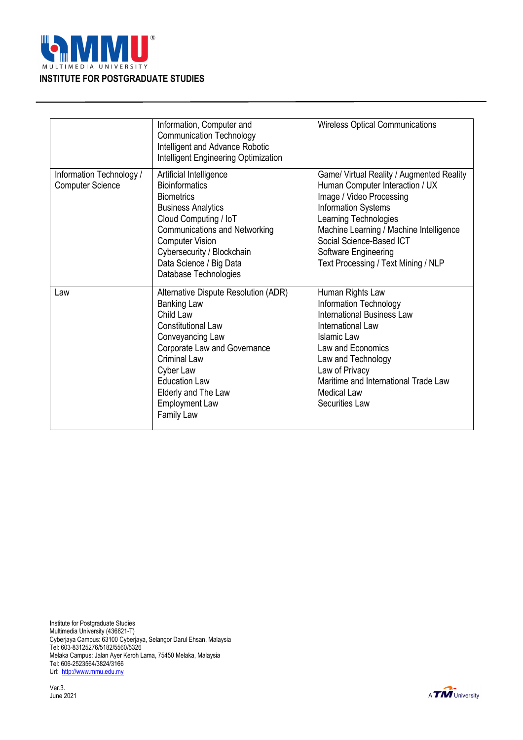

|                                                     | Information, Computer and<br><b>Communication Technology</b><br>Intelligent and Advance Robotic<br>Intelligent Engineering Optimization                                                                                                                                                   | <b>Wireless Optical Communications</b>                                                                                                                                                                                                                                                                |
|-----------------------------------------------------|-------------------------------------------------------------------------------------------------------------------------------------------------------------------------------------------------------------------------------------------------------------------------------------------|-------------------------------------------------------------------------------------------------------------------------------------------------------------------------------------------------------------------------------------------------------------------------------------------------------|
| Information Technology /<br><b>Computer Science</b> | Artificial Intelligence<br><b>Bioinformatics</b><br><b>Biometrics</b><br><b>Business Analytics</b><br>Cloud Computing / IoT<br><b>Communications and Networking</b><br><b>Computer Vision</b><br>Cybersecurity / Blockchain<br>Data Science / Big Data<br>Database Technologies           | Game/ Virtual Reality / Augmented Reality<br>Human Computer Interaction / UX<br>Image / Video Processing<br><b>Information Systems</b><br>Learning Technologies<br>Machine Learning / Machine Intelligence<br>Social Science-Based ICT<br>Software Engineering<br>Text Processing / Text Mining / NLP |
| Law                                                 | Alternative Dispute Resolution (ADR)<br><b>Banking Law</b><br>Child Law<br><b>Constitutional Law</b><br>Conveyancing Law<br>Corporate Law and Governance<br><b>Criminal Law</b><br>Cyber Law<br><b>Education Law</b><br>Elderly and The Law<br><b>Employment Law</b><br><b>Family Law</b> | Human Rights Law<br>Information Technology<br><b>International Business Law</b><br>International Law<br>Islamic Law<br>Law and Economics<br>Law and Technology<br>Law of Privacy<br>Maritime and International Trade Law<br><b>Medical Law</b><br><b>Securities Law</b>                               |